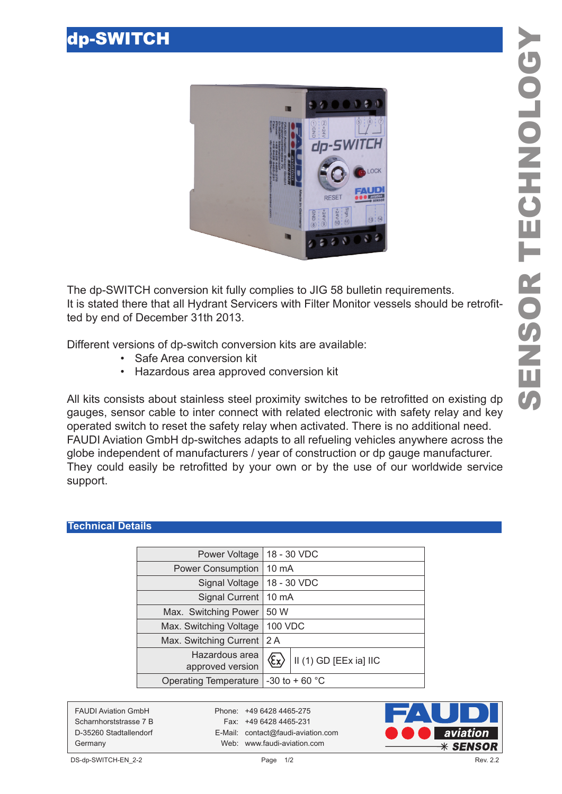

The dp-SWITCH conversion kit fully complies to JIG 58 bulletin requirements. It is stated there that all Hydrant Servicers with Filter Monitor vessels should be retrofitted by end of December 31th 2013.

Different versions of dp-switch conversion kits are available:

- Safe Area conversion kit
- Hazardous area approved conversion kit

All kits consists about stainless steel proximity switches to be retrofitted on existing dp gauges, sensor cable to inter connect with related electronic with safety relay and key operated switch to reset the safety relay when activated. There is no additional need. FAUDI Aviation GmbH dp-switches adapts to all refueling vehicles anywhere across the globe independent of manufacturers / year of construction or dp gauge manufacturer. They could easily be retrofitted by your own or by the use of our worldwide service support.

## **Technical Details**

| Power Voltage                      | 18 - 30 VDC                             |                        |
|------------------------------------|-----------------------------------------|------------------------|
| <b>Power Consumption</b>           | $10 \text{ mA}$                         |                        |
| Signal Voltage                     | 18 - 30 VDC                             |                        |
| <b>Signal Current</b>              | $10 \text{ mA}$                         |                        |
| Max. Switching Power               | 50 W                                    |                        |
| Max. Switching Voltage             | <b>100 VDC</b>                          |                        |
| Max. Switching Current             | 2 A                                     |                        |
| Hazardous area<br>approved version | $\langle \epsilon_{\mathbf{x}} \rangle$ | II (1) GD [EEx ia] IIC |
| <b>Operating Temperature</b>       | $-30$ to + 60 °C                        |                        |
|                                    |                                         |                        |

FAUDI Aviation GmbH Phone: +49 6428 4465-275

Scharnhorststrasse 7 B Fax: +49 6428 4465-231 D-35260 Stadtallendorf E-Mail: contact@faudi-aviation.com Germany Web: www.faudi-aviation.com